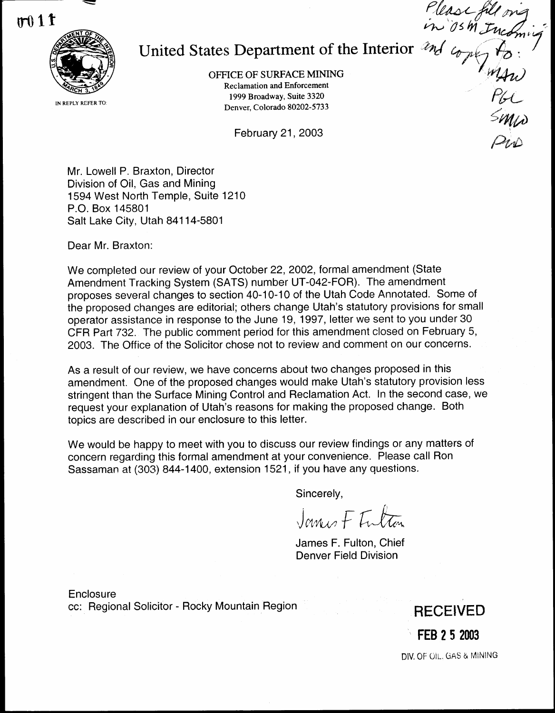

# United States Department of the Interior

OFFICE OF SURFACE MINING Reclamation and Enforcement 1999 Broadway, Suite 3320 Denver, Colorado 80202-5733

February 21, 2003

Mr. Lowell P. Braxton, Director Division of Oil, Gas and Mining 1594 West North Temple, Suite 1210 P.O. Box 145801 Salt Lake City, Utah 84114-5801

Dear Mr. Braxton:

We completed our review of your October 22, 2002, formal amendment (State Amendment Tracking System (SATS) number UT-042-FOR). The amendment proposes several changes to section 40-10-10 of the Utah Code Annotated. Some of the proposed changes are editorial; others change Utah's statutory provisions for small operator assistance in response to the June 19, 1997, letter we sent to you under 30 CFR Part 732 . The public comment period for this amendment closed on February 5, 2003. The Office of the Solicitor chose not to review and comment on our concerns .

As a result of our review, we have concerns about two changes proposed in this amendment. One of the proposed changes would make Utah's statutory provision less stringent than the Surface Mining Control and Reclamation Act. In the second case, we request your explanation of Utah's reasons for making the proposed change. Both topics are described in our enclosure to this letter.

We would be happy to meet with you to discuss our review findings or any matters of concern regarding this formal amendment at your convenience . Please call Ron Sassaman at (303) 844-1400, extension 1521, if you have any questions .

Sincerely,

James F Intra

James F. Fulton, Chief Denver Field Division

**Enclosure** cc: Regional Solicitor - Rocky Mountain Region

RECEIVED FEB 2 5 2003

DIV. OF OIL, GAS & MINING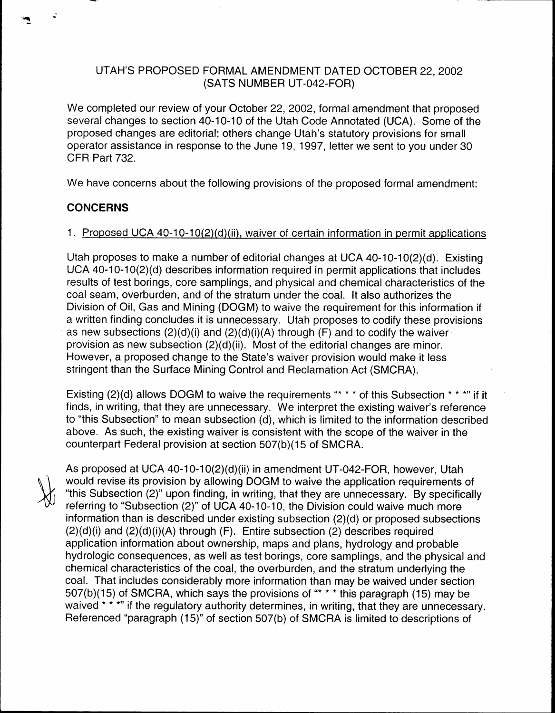### UTAH'S PROPOSED FORMAL AMENDMENT DATED OCTOBER 22, 2002 (SATS NUMBER UT-042-FOR)

We completed our review of your October 22, 2002, formal amendment that proposed several changes to section 40-10-10 of the Utah Code Annotated (UCA). Some of the proposed changes are editorial; others change Utah's statutory provisions for small operator assistance in response to the June 19, 1997, letter we sent to you under 30 CFR Part 732.

We have concerns about the following provisions of the proposed formal amendment:

#### CONCERNS

#### <sup>1</sup> . Proposed UCA 40-10-10(2)(d)(ii), waiver of certain information in permit applications

Utah proposes to make a number of editorial changes at UCA 40-10-10(2)(d) . Existing UCA 40-10-10(2)(d) describes information required in permit applications that includes results of test borings, core samplings, and physical and chemical characteristics of the coal seam, overburden, and of the stratum under the coal. It also authorizes the Division of Oil, Gas and Mining (DOGM) to waive the requirement for this information if a written finding concludes it is unnecessary. Utah proposes to codify these provisions as new subsections  $(2)(d)(i)$  and  $(2)(d)(i)(A)$  through  $(F)$  and to codify the waiver provision as new subsection (2)(d)(ii). Most of the editorial changes are minor. However, a proposed change to the State's waiver provision would make it less stringent than the Surface Mining Control and Reclamation Act (SMCRA) .

Existing (2)(d) allows DOGM to waive the requirements "\* \* \* of this Subsection \* \* \*" if it finds, in writing, that they are unnecessary . We interpret the existing waiver's reference to "this Subsection" to mean subsection (d), which is limited to the information described above. As such, the existing waiver is consistent with the scope of the waiver in the counterpart Federal provision at section 507(b)(15 of SMCRA .

As proposed at UCA 40-10-10(2)(d)(ii) in amendment UT-042-FOR, however, Utah would revise its provision by allowing DOGM to waive the application requirements of "this Subsection (2)" upon finding, in writing, that they are unnecessary. By specifically referring to "Subsection (2)" of UCA 40-10-10, the Division could waive much more information than is described under existing subsection (2)(d) or proposed subsections  $(2)(d)(i)$  and  $(2)(d)(i)(A)$  through  $(F)$ . Entire subsection  $(2)$  describes required application information about ownership, maps and plans, hydrology and probable hydrologic consequences, as well as test borings, core samplings, and the physical and chemical characteristics of the coal, the overburden, and the stratum underlying the coal. That includes considerably more information than may be waived under section 507(b)(15) of SMCRA, which says the provisions of "\* \* \* this paragraph (15) may be waived \* \* \*" if the regulatory authority determines, in writing, that they are unnecessary. Referenced "paragraph (15)" of section 507(b) of SMCRA is limited to descriptions of